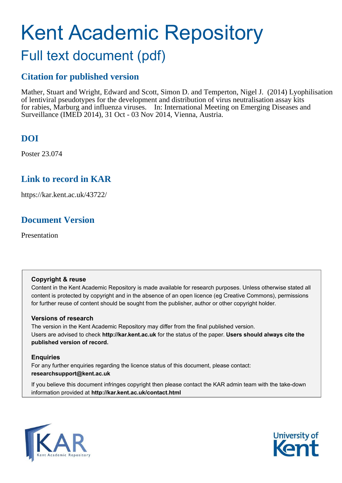# Kent Academic Repository

### Full text document (pdf)

### **Citation for published version**

Mather, Stuart and Wright, Edward and Scott, Simon D. and Temperton, Nigel J. (2014) Lyophilisation of lentiviral pseudotypes for the development and distribution of virus neutralisation assay kits for rabies, Marburg and influenza viruses. In: International Meeting on Emerging Diseases and Surveillance (IMED 2014), 31 Oct - 03 Nov 2014, Vienna, Austria.

### **DOI**

Poster 23.074

#### **Link to record in KAR**

https://kar.kent.ac.uk/43722/

### **Document Version**

Presentation

#### **Copyright & reuse**

Content in the Kent Academic Repository is made available for research purposes. Unless otherwise stated all content is protected by copyright and in the absence of an open licence (eg Creative Commons), permissions for further reuse of content should be sought from the publisher, author or other copyright holder.

#### **Versions of research**

The version in the Kent Academic Repository may differ from the final published version. Users are advised to check **http://kar.kent.ac.uk** for the status of the paper. **Users should always cite the published version of record.**

#### **Enquiries**

For any further enquiries regarding the licence status of this document, please contact: **researchsupport@kent.ac.uk**

If you believe this document infringes copyright then please contact the KAR admin team with the take-down information provided at **http://kar.kent.ac.uk/contact.html**